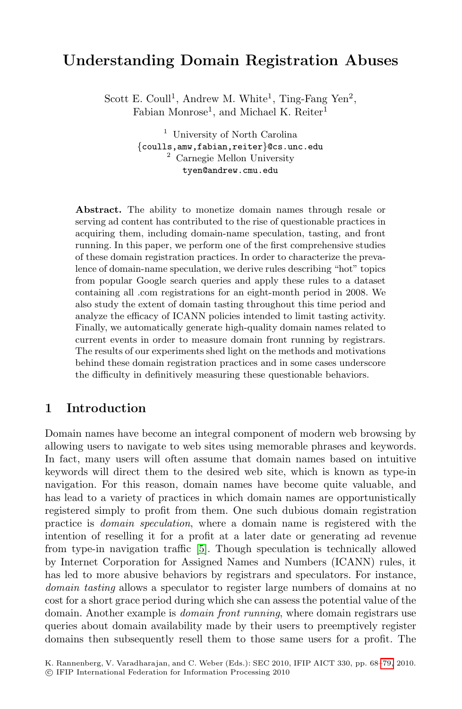# **Understanding Domain Registration Abuses**

Scott E. Coull<sup>1</sup>, Andrew M. White<sup>1</sup>, Ting-Fang Yen<sup>2</sup>, Fabian Monrose<sup>1</sup>, and Michael K. Reiter<sup>1</sup>

> <sup>1</sup> University of North Carolina {coulls,amw,fabian,reiter}@cs.unc.edu <sup>2</sup> Carnegie Mellon University tyen@andrew.cmu.edu

**Abstract.** The ability to monetize domain names through resale or serving ad content has contributed to the rise of questionable practices in acquiring them, including domain-name speculation, tasting, and front running. In this paper, we perform one of the first comprehensive studies of these domain registration practices. In order to characterize the prevalence of domain-name speculation, we derive rules describing "hot" topics from popular Google search queries and apply these rules to a dataset containing all .com registrations for an eight-month period in 2008. We also study the extent of domain tasting throughout this time period and analyze the efficacy of ICANN policies intended to limit tasting activity. Finally, we automatically generate high-quality domain names related to current events in order to measure domain front running by registrars. The results of our experiments shed light on the methods and motivations behind these domain registration practices and in some cases underscore the difficulty in definitively measuring these questionable behaviors.

### **1 Introduction**

Domain names have become an integral component of modern web browsing by allowing user[s t](#page-11-0)o navigate to web sites using memorable phrases and keywords. In fact, many users will often assume that domain names based on intuitive keywords will direct them to the desired web site, which is known as type-in navigation. For this reason, domain names have become quite valuable, and has lead to a variety of practices in which domain names are opportunistically registered simply to profit from them. One such dubious domain registration practice is *domain speculation*, where a domain name is registered with the intention of reselling it for a profit at a later date or generating ad revenue from type-in navigation traffic [5]. Though speculation is technically allowed by Internet Corporation for Assigned Names and [Num](#page-11-1)bers (ICANN) rules, it has led to more abusive behaviors by registrars and speculators. For instance, *domain tasting* allows a speculator to register large numbers of domains at no cost for a short grace period during which she can assess the potential value of the domain. Another example is *domain front running*, where domain registrars use queries about domain availability made by their users to preemptively register domains then subsequently resell them to those same users for a profit. The

K. Rannenberg, V. Varadharajan, and C. Weber (Eds.): SEC 2010, IFIP AICT 330, pp. 68–79, 2010. -c IFIP International Federation for Information Processing 2010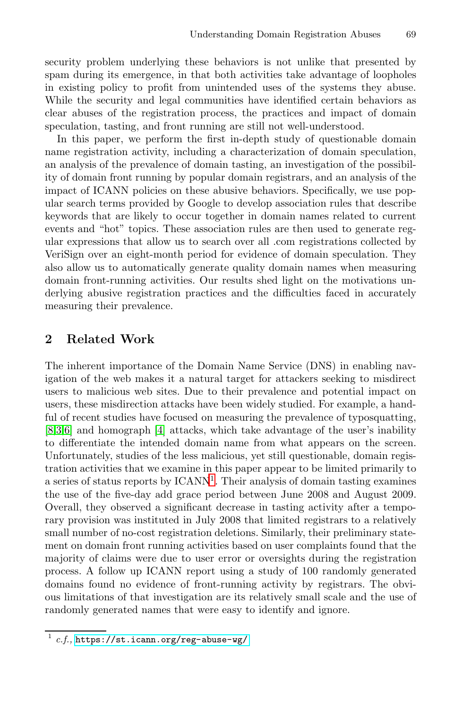security problem underlying these behaviors is not unlike that presented by spam during its emergence, in that both activities take advantage of loopholes in existing policy to profit from unintended uses of the systems they abuse. While the security and legal communities have identified certain behaviors as clear abuses of the registration process, the practices and impact of domain speculation, tasting, and front running are still not well-understood.

In this paper, we perform the first in-depth study of questionable domain name registration activity, including a characterization of domain speculation, an analysis of the prevalence of domain tasting, an investigation of the possibility of domain front running by popular domain registrars, and an analysis of the impact of ICANN policies on these abusive behaviors. Specifically, we use popular search terms provided by Google to develop association rules that describe keywords that are likely to occur together in domain names related to current events and "hot" topics. These association rules are then used to generate regular expressions that allow us to search over all .com registrations collected by VeriSign over an eight-month period for evidence of domain speculation. They also allow us to automatically generate quality domain names when measuring domain front-running activities. Our results shed light on the motivations underlying abusive registration practices and the difficulties faced in accurately measuring their prevalence.

### **2 [R](#page-11-2)elated Work**

The inherent importance of the Domain Name Service (DNS) in enabling navigation of the w[eb](#page-1-0) makes it a natural target for attackers seeking to misdirect users to malicious web sites. Due to their prevalence and potential impact on users, these misdirection attacks have been widely studied. For example, a handful of recent studies have focused on measuring the prevalence of typosquatting, [8,3,6] and homograph [4] attacks, which take advantage of the user's inability to differentiate the intended domain name from what appears on the screen. Unfortunately, studies of the less malicious, yet still questionable, domain registration activities that we examine in this paper appear to be limited primarily to a series of status reports by ICANN<sup>1</sup>. Their analysis of domain tasting examines the use of the five-day add grace period between June 2008 and August 2009. Overall, they observed a significant decrease in tasting activity after a temporary provision was instituted in July 2008 that limited registrars to a relatively small number of no-cost registration deletions. Similarly, their preliminary state[ment](https://st.icann.org/reg-abuse-wg/) [on](https://st.icann.org/reg-abuse-wg/) [domain](https://st.icann.org/reg-abuse-wg/) [front](https://st.icann.org/reg-abuse-wg/) [run](https://st.icann.org/reg-abuse-wg/)ning activities based on user complaints found that the majority of claims were due to user error or oversights during the registration process. A follow up ICANN report using a study of 100 randomly generated domains found no evidence of front-running activity by registrars. The obvious limitations of that investigation are its relatively small scale and the use of randomly generated names that were easy to identify and ignore.

<span id="page-1-0"></span><sup>1</sup> *c.f.,* https://st.icann.org/reg-abuse-wg/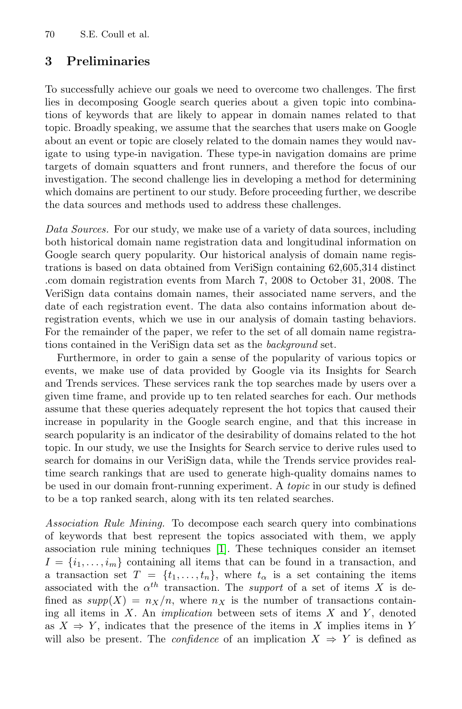# <span id="page-2-0"></span>**3 Preliminaries**

To successfully achieve our goals we need to overcome two challenges. The first lies in decomposing Google search queries about a given topic into combinations of keywords that are likely to appear in domain names related to that topic. Broadly speaking, we assume that the searches that users make on Google about an event or topic are closely related to the domain names they would navigate to using type-in navigation. These type-in navigation domains are prime targets of domain squatters and front runners, and therefore the focus of our investigation. The second challenge lies in developing a method for determining which domains are pertinent to our study. Before proceeding further, we describe the data sources and methods used to address these challenges.

*Data Sources.* For our study, we make use of a variety of data sources, including both historical domain name registration data and longitudinal information on Google search query popularity. Our historical analysis of domain name registrations is based on data obtained from VeriSign containing 62,605,314 distinct .com domain registration events from March 7, 2008 to October 31, 2008. The VeriSign data contains domain names, their associated name servers, and the date of each registration event. The data also contains information about deregistration events, which we use in our analysis of domain tasting behaviors. For the remainder of the paper, we refer to the set of all domain name registrations contained in the VeriSign data set as the *background* set.

Furthermore, in order to gain a sense of the popularity of various topics or events, we make use of data provided by Google via its Insights for Search and Trends services. These services rank the top searches made by users over a given time frame, and provide up to ten related searches for each. Our methods assume that these queries adequately represent the hot topics that caused their increase in popularity in the Google search engine, and that this increase in search popularity is an indicator of the desirability of domains related to the hot topic. In our stud[y,](#page-11-3) we use the Insights for Search service to derive rules used to search for domains in our VeriSign data, while the Trends service provides realtime search rankings that are used to generate high-quality domains names to be used in our domain front-running experiment. A *topic* in our study is defined to be a top ranked search, along with its ten related searches.

*Association Rule Mining.* To decompose each search query into combinations of keywords that best represent the topics associated with them, we apply association rule mining techniques [1]. These techniques consider an itemset  $I = \{i_1, \ldots, i_m\}$  containing all items that can be found in a transaction, and a transaction set  $T = \{t_1, \ldots, t_n\}$ , where  $t_\alpha$  is a set containing the items associated with the  $\alpha^{th}$  transaction. The *support* of a set of items X is defined as  $supp(X) = n_X/n$ , where  $n_X$  is the number of transactions containing all items in X. An *implication* between sets of items X and Y , denoted as  $X \Rightarrow Y$ , indicates that the presence of the items in X implies items in Y will also be present. The *confidence* of an implication  $X \Rightarrow Y$  is defined as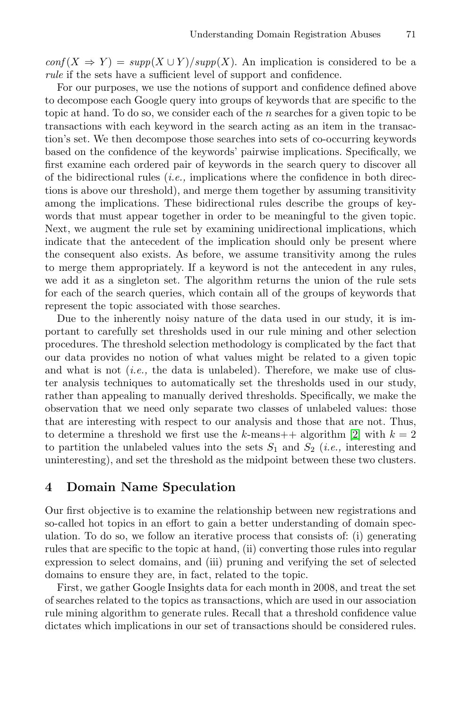$conf(X \Rightarrow Y) = supp(X \cup Y)/supp(X)$ . An implication is considered to be a *rule* if the sets have a sufficient level of support and confidence.

For our purposes, we use the notions of support and confidence defined above to decompose each Google query into groups of keywords that are specific to the topic at hand. To do so, we consider each of the n searches for a given topic to be transactions with each keyword in the search acting as an item in the transaction's set. We then decompose those searches into sets of co-occurring keywords based on the confidence of the keywords' pairwise implications. Specifically, we first examine each ordered pair of keywords in the search query to discover all of the bidirectional rules (*i.e.,* implications where the confidence in both directions is above our threshold), and merge them together by assuming transitivity among the implications. These bidirectional rules describe the groups of keywords that must appear together in order to be meaningful to the given topic. Next, we augment the rule set by examining unidirectional implications, which indicate that the antecedent of the implication should only be present where the consequent also exists. As before, we assume transitivity among the rules to merge them appropriately. If a keyword is not the antecedent in any rules, we add it as a singleton set. The algorithm returns the union of the rule sets for each of the search queries, which contain all of the groups of keywords that represent the topic associated with those searches.

Due to the inherently noisy nature of the data used in our study, it is important to carefully set thresholds used in ou[r r](#page-11-4)ule mining and other selection procedures. The threshold selection methodology is complicated by the fact that our data provides no notion of what values might be related to a given topic and what is not (*i.e.,* the data is unlabeled). Therefore, we make use of cluster analysis techniques to automatically set the thresholds used in our study, rather than appealing to manually derived thresholds. Specifically, we make the observation that we need only separate two classes of unlabeled values: those that are interesting with respect to our analysis and those that are not. Thus, to determine a threshold we first use the k-means++ algorithm [2] with  $k = 2$ to partition the unlabeled values into the sets  $S_1$  and  $S_2$  (*i.e.*, interesting and uninteresting), and set the threshold as the midpoint between these two clusters.

### **4 Domain Name Speculation**

Our first objective is to examine the relationship between new registrations and so-called hot topics in an effort to gain a better understanding of domain speculation. To do so, we follow an iterative process that consists of: (i) generating rules that are specific to the topic at hand, (ii) converting those rules into regular expression to select domains, and (iii) pruning and verifying the set of selected domains to ensure they are, in fact, related to the topic.

First, we gather Google Insights data for each month in 2008, and treat the set of searches related to the topics as transactions, which are used in our association rule mining algorithm to generate rules. Recall that a threshold confidence value dictates which implications in our set of transactions should be considered rules.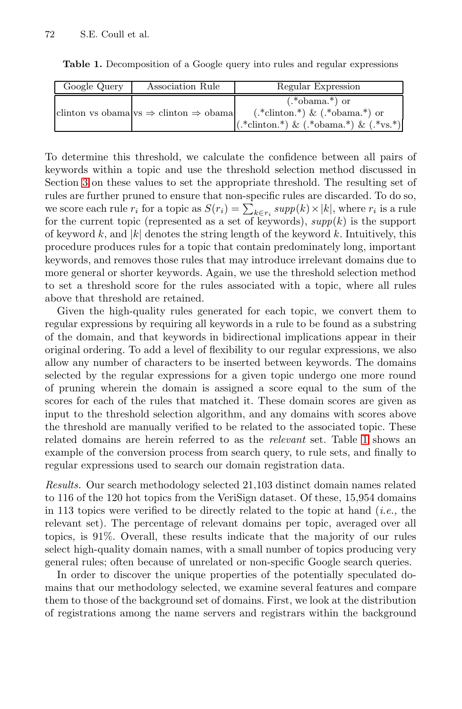<span id="page-4-0"></span>**Table 1.** Decomposition of a Google query into rules and regular expressions

| Google Query | Association Rule                                              | Regular Expression                                                                    |
|--------------|---------------------------------------------------------------|---------------------------------------------------------------------------------------|
|              | clinton vs obama $vs \Rightarrow$ clinton $\Rightarrow$ obama | $(*\text{clinton.}) \& (*\text{obama.})$ or<br>(.*clinton.*) & (.*obama.*) & (.*vs.*) |

To determine this threshold, we calculate the confidence between all pairs of keywords within a topic and use the threshold selection method discussed in Section 3 on these values to set the appropriate threshold. The resulting set of rules are further pruned to ensure that non-specific rules are discarded. To do so, we score each rule  $r_i$  for a topic as  $S(r_i) = \sum_{k \in r_i} supp(k) \times |k|$ , where  $r_i$  is a rule for the current topic (represented as a set of keywords),  $supp(k)$  is the support of keyword k, and |k| denotes the string length of the keyword k. Intuitively, this procedure produces rules for a topic that contain predominately long, important keywords, and removes those rules that may introduce irrelevant domains due to more general or shorter keywords. Again, we use the threshold selection method to set a threshold score for the rules associated with a topic, where all rules above that threshold are retained.

Given the high-quality rules generated for each topic, we convert them to regular expressions by requiring all keywords in a rule to be found as a substring of the domain, and that keywords in bidirection[al](#page-4-0) implications appear in their original ordering. To add a level of flexibility to our regular expressions, we also allow any number of characters to be inserted between keywords. The domains selected by the regular expressions for a given topic undergo one more round of pruning wherein the domain is assigned a score equal to the sum of the scores for each of the rules that matched it. These domain scores are given as input to the threshold selection algorithm, and any domains with scores above the threshold are manually verified to be related to the associated topic. These related domains are herein referred to as the *relevant* set. Table 1 shows an example of the conversion process from search query, to rule sets, and finally to regular expressions used to search our domain registration data.

*Results.* Our search methodology selected 21,103 distinct domain names related to 116 of the 120 hot topics from the VeriSign dataset. Of these, 15,954 domains in 113 topics were verified to be directly related to the topic at hand (*i.e.,* the relevant set). The percentage of relevant domains per topic, averaged over all topics, is 91%. Overall, these results indicate that the majority of our rules select high-quality domain names, with a small number of topics producing very general rules; often because of unrelated or non-specific Google search queries.

In order to discover the unique properties of the potentially speculated domains that our methodology selected, we examine several features and compare them to those of the background set of domains. First, we look at the distribution of registrations among the name servers and registrars within the background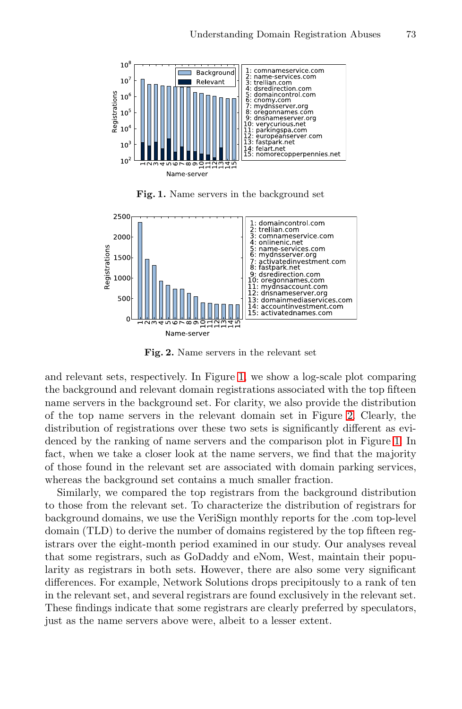





**Fig. 2.** Name servers in the relevant set

and relevant sets, respectively. In Figure 1, we show a log-scale plot comparing the background and relevant domain registrations associated with the top fifteen name servers in the background set. For clarity, we also provide the distribution of the top name servers in the relevant domain set in Figure 2. Clearly, the distribution of registrations over these two sets is significantly different as evidenced by the ranking of name servers and the comparison plot in Figure 1. In fact, when we take a closer look at the name servers, we find that the majority of those found in the relevant set are associated with domain parking services, whereas the background set contains a much smaller fraction.

Similarly, we compared the top registrars from the background distribution to those from the relevant set. To characterize the distribution of registrars for background domains, we use the VeriSign monthly reports for the .com top-level domain (TLD) to derive the number of domains registered by the top fifteen registrars over the eight-month period examined in our study. Our analyses reveal that some registrars, such as GoDaddy and eNom, West, maintain their popularity as registrars in both sets. However, there are also some very significant differences. For example, Network Solutions drops precipitously to a rank of ten in the relevant set, and several registrars are found exclusively in the relevant set. These findings indicate that some registrars are clearly preferred by speculators, just as the name servers above were, albeit to a lesser extent.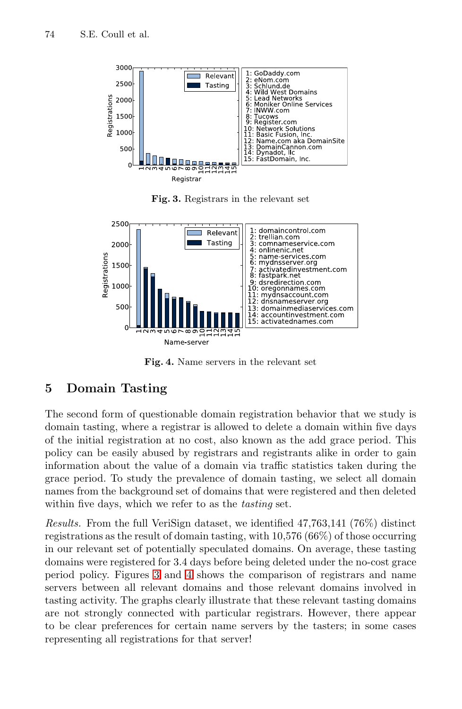<span id="page-6-0"></span>

<span id="page-6-1"></span>

Name-server

**Fig. 4.** Name servers in the relevant set

### **5 Domain Tasting**

The second form of questionable domain registration behavior that we study is domain tasting, where a registrar is allowed to delete a domain within five days of the initial registration at no cost, also known as the add grace period. This policy can be easily abused by registrars and registrants alike in order to gain information about the value of a domain via traffic statistics taken during the gra[ce](#page-6-0) perio[d.](#page-6-1) To study the prevalence of domain tasting, we select all domain names from the background set of domains that were registered and then deleted within five days, which we refer to as the *tasting* set.

*Results.* From the full VeriSign dataset, we identified 47,763,141 (76%) distinct registrations as the result of domain tasting, with 10,576 (66%) of those occurring in our relevant set of potentially speculated domains. On average, these tasting domains were registered for 3.4 days before being deleted under the no-cost grace period policy. Figures 3 and 4 shows the comparison of registrars and name servers between all relevant domains and those relevant domains involved in tasting activity. The graphs clearly illustrate that these relevant tasting domains are not strongly connected with particular registrars. However, there appear to be clear preferences for certain name servers by the tasters; in some cases representing all registrations for that server!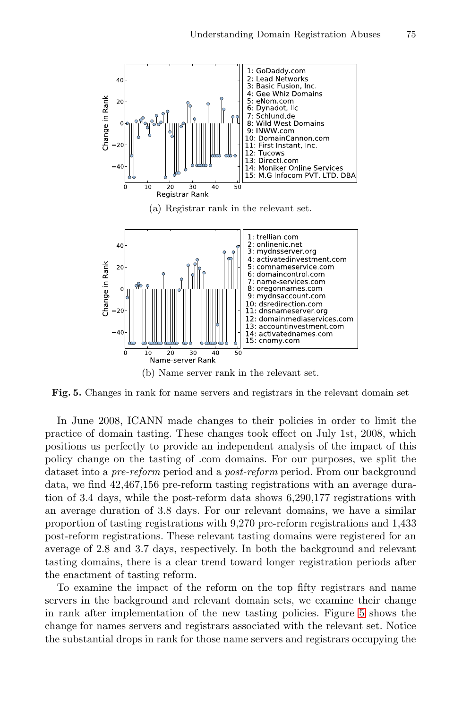

<span id="page-7-0"></span>**Fig. 5.** Changes in rank for name servers and registrars in the relevant domain set

In June 2008, ICANN made changes to their policies in order to limit the practice of domain tasting. These changes took effect on July 1st, 2008, which positions us perfectly to provide an independent analysis of the impact of this policy change on the tasting of .com domains. For our purposes, we split the dataset into a *pre-reform* period and a *post-reform* period. From our background data, we find 42,467,156 pre-reform tasting registrations with an average duration of 3.4 days, while the post-reform data shows 6,290,177 registrations with an average duration of 3.8 days. For our relev[an](#page-7-0)t domains, we have a similar proportion of tasting registrations with 9,270 pre-reform registrations and 1,433 post-reform registrations. These relevant tasting domains were registered for an average of 2.8 and 3.7 days, respectively. In both the background and relevant tasting domains, there is a clear trend toward longer registration periods after the enactment of tasting reform.

To examine the impact of the reform on the top fifty registrars and name servers in the background and relevant domain sets, we examine their change in rank after implementation of the new tasting policies. Figure 5 shows the change for names servers and registrars associated with the relevant set. Notice the substantial drops in rank for those name servers and registrars occupying the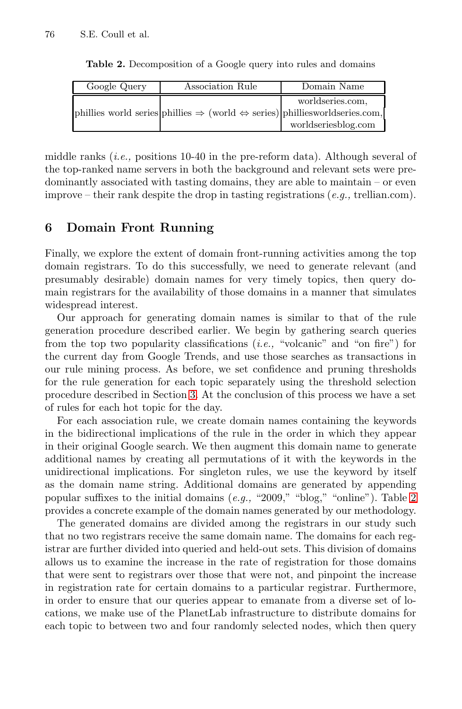<span id="page-8-0"></span>**Table 2.** Decomposition of a Google query into rules and domains

| Google Query | Association Rule                                                                                        | Domain Name                             |
|--------------|---------------------------------------------------------------------------------------------------------|-----------------------------------------|
|              | phillies world series phillies $\Rightarrow$ (world $\Leftrightarrow$ series) phillies worldseries.com, | worldseries.com,<br>worldseriesblog.com |

middle ranks (*i.e.,* positions 10-40 in the pre-reform data). Although several of the top-ranked name servers in both the background and relevant sets were predominantly associated with tasting domains, they are able to maintain – or even improve – their rank despite the drop in tasting registrations (*e.g.,* trellian.com).

### **6 Domain Front Running**

Finally, we explore the extent of domain front-running activities among the top domain registrars. To do this successfully, we need to generate relevant (and presumably desirable) domain names for very timely topics, then query domain regist[rar](#page-2-0)s for the availability of those domains in a manner that simulates widespread interest.

Our approach for generating domain names is similar to that of the rule generation procedure described earlier. We begin by gathering search queries from the top two popularity classifications (*i.e.,* "volcanic" and "on fire") for the current day from Google Trends, and use those searches as transactions in our rule mining process. As before, we set confidence and pruning thresholds for the rule generation for each topic separately using the threshold selection procedure described in Section 3. At the conclusion of this [pro](#page-8-0)cess we have a set of rules for each hot topic for the day.

For each association rule, we create domain names containing the keywords in the bidirectional implications of the rule in the order in which they appear in their original Google search. We then augment this domain name to generate additional names by creating all permutations of it with the keywords in the unidirectional implications. For singleton rules, we use the keyword by itself as the domain name string. Additional domains are generated by appending popular suffixes to the initial domains (*e.g.,* "2009," "blog," "online"). Table 2 provides a concrete example of the domain names generated by our methodology.

The generated domains are divided among the registrars in our study such that no two registrars receive the same domain name. The domains for each registrar are further divided into queried and held-out sets. This division of domains allows us to examine the increase in the rate of registration for those domains that were sent to registrars over those that were not, and pinpoint the increase in registration rate for certain domains to a particular registrar. Furthermore, in order to ensure that our queries appear to emanate from a diverse set of locations, we make use of the PlanetLab infrastructure to distribute domains for each topic to between two and four randomly selected nodes, which then query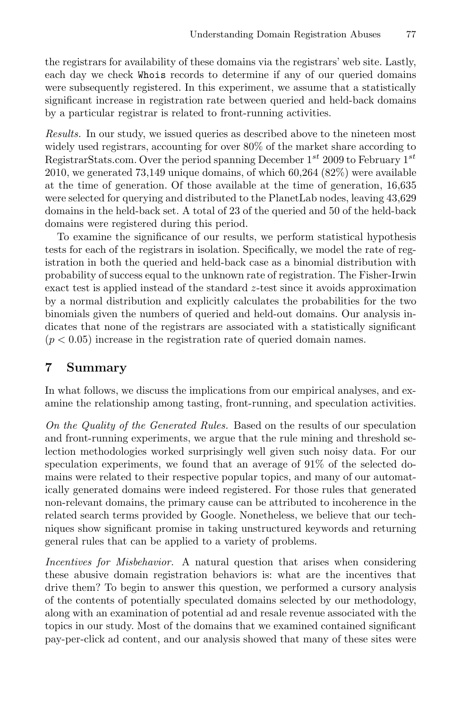the registrars for availability of these domains via the registrars' web site. Lastly, each day we check Whois records to determine if any of our queried domains were subsequently registered. In this experiment, we assume that a statistically significant increase in registration rate between queried and held-back domains by a particular registrar is related to front-running activities.

*Results.* In our study, we issued queries as described above to the nineteen most widely used registrars, accounting for over 80% of the market share according to RegistrarStats.com. Over the period spanning December  $1^{st}$  2009 to February  $1^{st}$ 2010, we generated 73,149 unique domains, of which 60,264 (82%) were available at the time of generation. Of those available at the time of generation, 16,635 were selected for querying and distributed to the PlanetLab nodes, leaving 43,629 domains in the held-back set. A total of 23 of the queried and 50 of the held-back domains were registered during this period.

To examine the significance of our results, we perform statistical hypothesis tests for each of the registrars in isolation. Specifically, we model the rate of registration in both the queried and held-back case as a binomial distribution with probability of success equal to the unknown rate of registration. The Fisher-Irwin exact test is applied instead of the standard z-test since it avoids approximation by a normal distribution and explicitly calculates the probabilities for the two binomials given the numbers of queried and held-out domains. Our analysis indicates that none of the registrars are associated with a statistically significant  $(p < 0.05)$  increase in the registration rate of queried domain names.

# **7 Summary**

In what follows, we discuss the implications from our empirical analyses, and examine the relationship among tasting, front-running, and speculation activities.

*On the Quality of the Generated Rules.* Based on the results of our speculation and front-running experiments, we argue that the rule mining and threshold selection methodologies worked surprisingly well given such noisy data. For our speculation experiments, we found that an average of 91% of the selected domains were related to their respective popular topics, and many of our automatically generated domains were indeed registered. For those rules that generated non-relevant domains, the primary cause can be attributed to incoherence in the related search terms provided by Google. Nonetheless, we believe that our techniques show significant promise in taking unstructured keywords and returning general rules that can be applied to a variety of problems.

*Incentives for Misbehavior.* A natural question that arises when considering these abusive domain registration behaviors is: what are the incentives that drive them? To begin to answer this question, we performed a cursory analysis of the contents of potentially speculated domains selected by our methodology, along with an examination of potential ad and resale revenue associated with the topics in our study. Most of the domains that we examined contained significant pay-per-click ad content, and our analysis showed that many of these sites were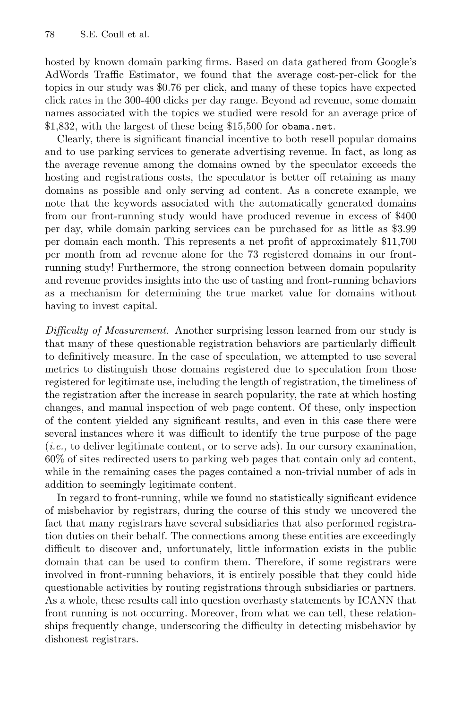hosted by known domain parking firms. Based on data gathered from Google's AdWords Traffic Estimator, we found that the average cost-per-click for the topics in our study was \$0.76 per click, and many of these topics have expected click rates in the 300-400 clicks per day range. Beyond ad revenue, some domain names associated with the topics we studied were resold for an average price of \$1,832, with the largest of these being \$15,500 for obama.net.

Clearly, there is significant financial incentive to both resell popular domains and to use parking services to generate advertising revenue. In fact, as long as the average revenue among the domains owned by the speculator exceeds the hosting and registrations costs, the speculator is better off retaining as many domains as possible and only serving ad content. As a concrete example, we note that the keywords associated with the automatically generated domains from our front-running study would have produced revenue in excess of \$400 per day, while domain parking services can be purchased for as little as \$3.99 per domain each month. This represents a net profit of approximately \$11,700 per month from ad revenue alone for the 73 registered domains in our frontrunning study! Furthermore, the strong connection between domain popularity and revenue provides insights into the use of tasting and front-running behaviors as a mechanism for determining the true market value for domains without having to invest capital.

*Difficulty of Measurement.* Another surprising lesson learned from our study is that many of these questionable registration behaviors are particularly difficult to definitively measure. In the case of speculation, we attempted to use several metrics to distinguish those domains registered due to speculation from those registered for legitimate use, including the length of registration, the timeliness of the registration after the increase in search popularity, the rate at which hosting changes, and manual inspection of web page content. Of these, only inspection of the content yielded any significant results, and even in this case there were several instances where it was difficult to identify the true purpose of the page (*i.e.,* to deliver legitimate content, or to serve ads). In our cursory examination, 60% of sites redirected users to parking web pages that contain only ad content, while in the remaining cases the pages contained a non-trivial number of ads in addition to seemingly legitimate content.

In regard to front-running, while we found no statistically significant evidence of misbehavior by registrars, during the course of this study we uncovered the fact that many registrars have several subsidiaries that also performed registration duties on their behalf. The connections among these entities are exceedingly difficult to discover and, unfortunately, little information exists in the public domain that can be used to confirm them. Therefore, if some registrars were involved in front-running behaviors, it is entirely possible that they could hide questionable activities by routing registrations through subsidiaries or partners. As a whole, these results call into question overhasty statements by ICANN that front running is not occurring. Moreover, from what we can tell, these relationships frequently change, underscoring the difficulty in detecting misbehavior by dishonest registrars.